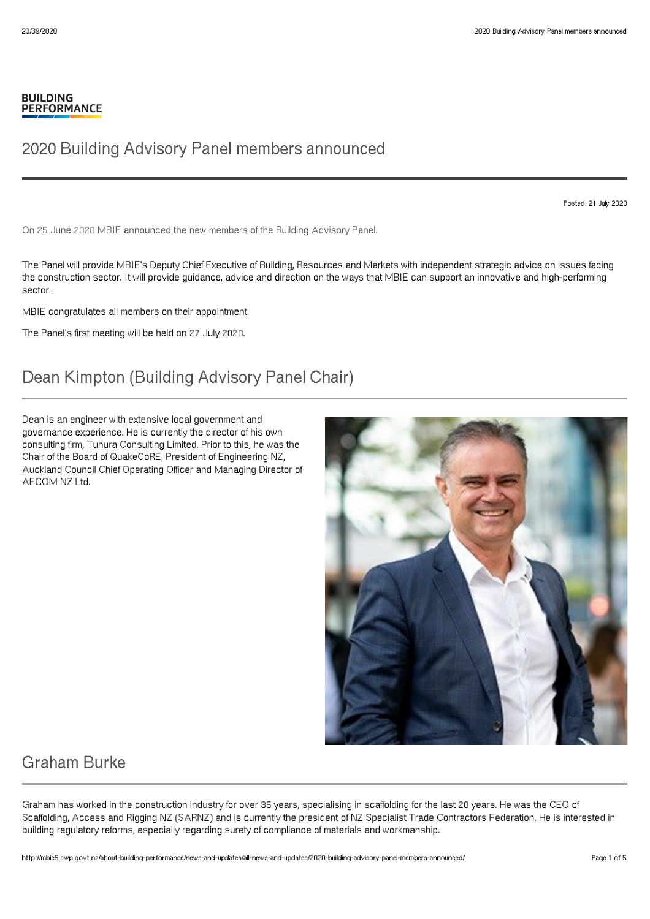#### **BUILDING PERFORMANCE**

#### 2020 Building Advisory Panel members announced

Posted: 21 July 2020

On 25 June 2020 MBIE announced the new members of the Building Advisory Panel.

The Panel will provide MBIE's Deputy Chief Executive of Building, Resources and Markets with independent strategic advice on issues facing the construction sector. It will provide guidance, advice and direction on the ways that MBIE can support an innovative and high-performing sector.

MBIE congratulates all members on their appointment.

The Panel's first meeting will be held on 27 July 2020.

## Dean Kimpton (Building Advisory Panel Chair)

Dean is an engineer with extensive local government and governance experience. He is currently the director of his own consulting firm, Tuhura Consulting Limited. Prior to this, he was the Chair of the Board of QuakeCoRE, President of Engineering NZ, Auckland Council Chief Operating Officer and Managing Director of AECOM NZ Ltd.



#### Graham Burke

Graham has worked in the construction industry for over 35 years, specialising in scaffolding for the last 20 years. He was the CEO of Scaffolding, Access and Rigging NZ (SARNZ) and is currently the president of NZ Specialist Trade Contractors Federation. He is interested in building regulatory reforms, especially regarding surety of compliance of materials and workmanship.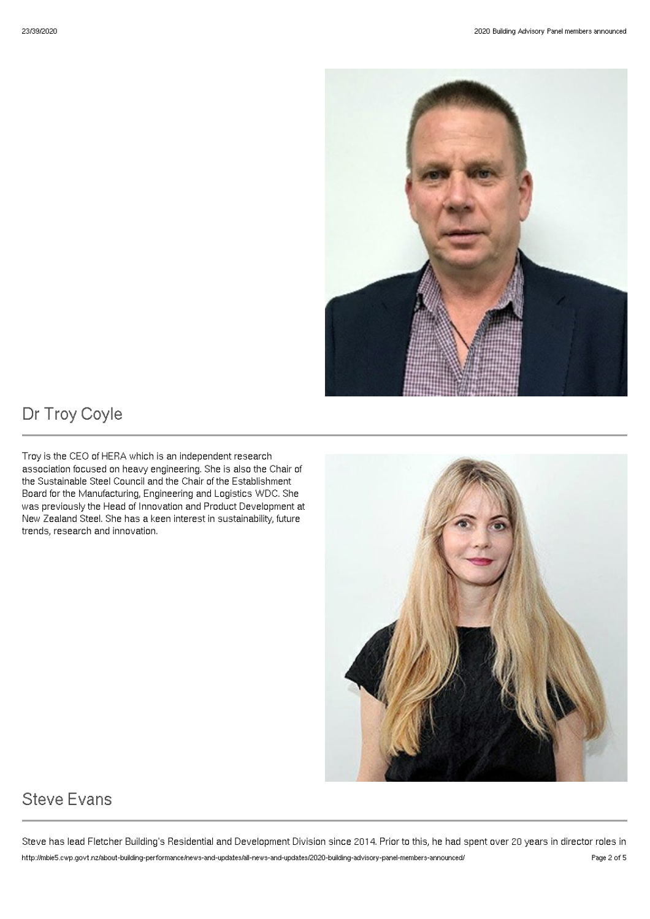

# Dr Troy Coyle

Troy is the CEO of HERA which is an independent research association focused on heavy engineering. She is also the Chair of the Sustainable Steel Council and the Chair of the Establishment Board for the Manufacturing, Engineering and Logistics WDC. She was previously the Head of Innovation and Product Development at New Zealand Steel. She has a keen interest in sustainability, future trends, research and innovation.



# Steve Evans

Steve has lead Fletcher Building's Residential and Development Division since 2014. Prior to this, he had spent over 20 years in director roles in http://mbie5.cwp.govt.nz/about-building-performance/news-and-updates/all-news-and-updates/2020-building-advisory-panel-members-announced/ Page 2 of 5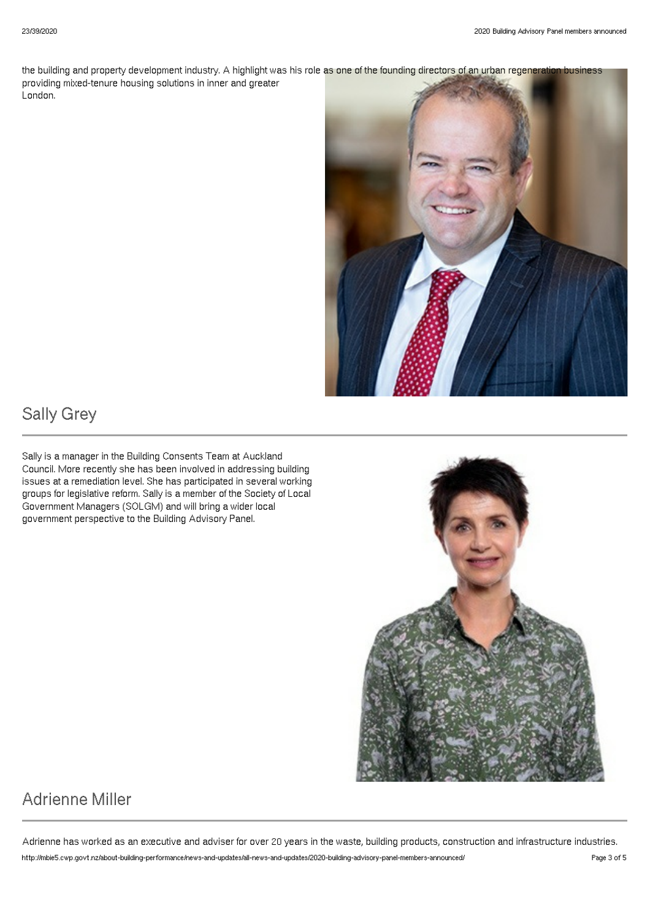the building and property development industry. A highlight was his role as one of the founding directors of an urban regeneration business providing mixed-tenure housing solutions in inner and greater London.



## Sally Grey

Sally is a manager in the Building Consents Team at Auckland Council. More recently she has been involved in addressing building issues at a remediation level. She has participated in several working groups for legislative reform. Sally is a member of the Society of Local Government Managers (SOLGM) and will bring a wider local government perspective to the Building Advisory Panel.



# Adrienne Miller

Adrienne has worked as an executive and adviser for over 20 years in the waste, building products, construction and infrastructure industries. http://mbie5.cwp.govt.nz/about-building-performance/news-and-updates/all-news-and-updates/2020-building-advisory-panel-members-announced/ Page 3 of 5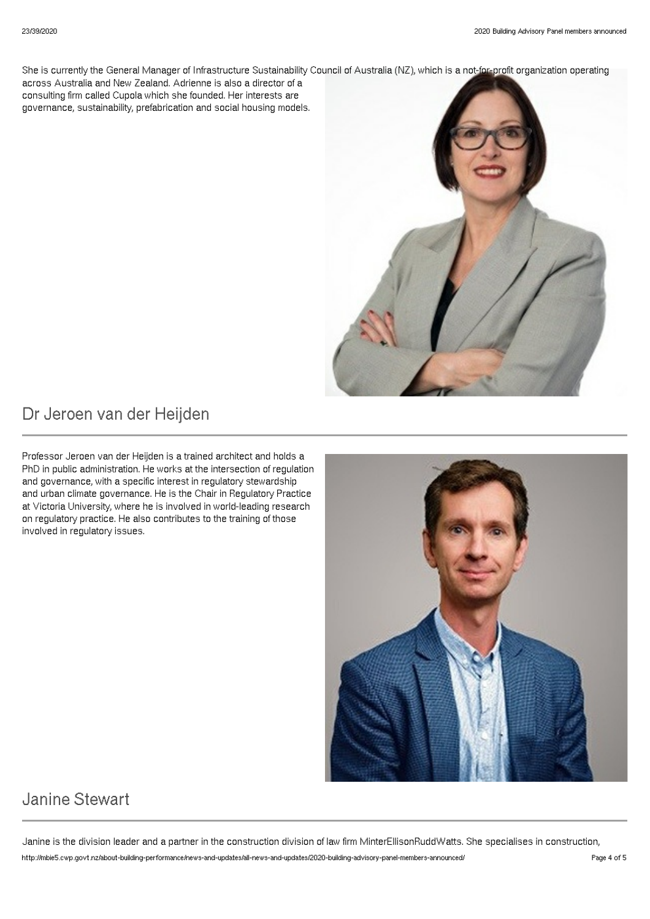She is currently the General Manager of Infrastructure Sustainability Council of Australia (NZ), which is a not-for-profit organization operating across Australia and New Zealand. Adrienne is also a director of a consulting firm called Cupola which she founded. Her interests are governance, sustainability, prefabrication and social housing models.



### Dr Jeroen van der Heijden

Professor Jeroen van der Heijden is a trained architect and holds a PhD in public administration. He works at the intersection of regulation and governance, with a specific interest in regulatory stewardship and urban climate governance. He is the Chair in Regulatory Practice at Victoria University, where he is involved in world-leading research on regulatory practice. He also contributes to the training of those involved in regulatory issues.



## Janine Stewart

Janine is the division leader and a partner in the construction division of law firm MinterEllisonRuddWatts. She specialises in construction, http://mbie5.cwp.govt.nz/about-building-performance/news-and-updates/all-news-and-updates/2020-building-advisory-panel-members-announced/ Page 4 of 5